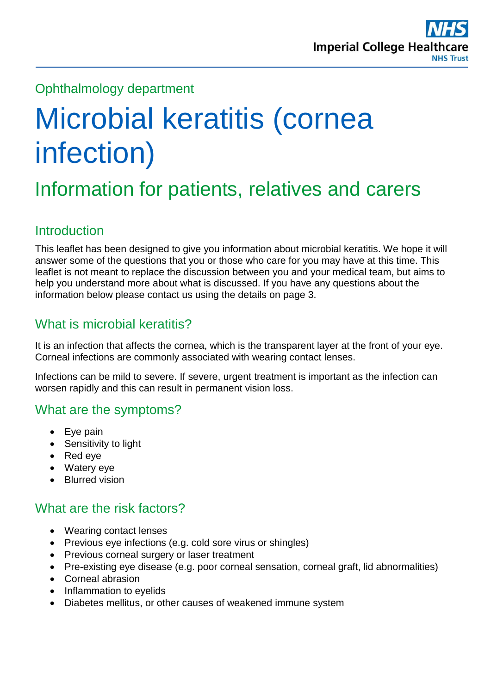

# Ophthalmology department

# Microbial keratitis (cornea infection)

# Information for patients, relatives and carers

#### **Introduction**

This leaflet has been designed to give you information about microbial keratitis. We hope it will answer some of the questions that you or those who care for you may have at this time. This leaflet is not meant to replace the discussion between you and your medical team, but aims to help you understand more about what is discussed. If you have any questions about the information below please contact us using the details on page 3.

# What is microbial keratitis?

It is an infection that affects the cornea, which is the transparent layer at the front of your eye. Corneal infections are commonly associated with wearing contact lenses.

Infections can be mild to severe. If severe, urgent treatment is important as the infection can worsen rapidly and this can result in permanent vision loss.

#### What are the symptoms?

- Eye pain
- Sensitivity to light
- Red eye
- Watery eye
- Blurred vision

#### What are the risk factors?

- Wearing contact lenses
- Previous eye infections (e.g. cold sore virus or shingles)
- Previous corneal surgery or laser treatment
- Pre-existing eye disease (e.g. poor corneal sensation, corneal graft, lid abnormalities)
- Corneal abrasion
- Inflammation to eyelids
- Diabetes mellitus, or other causes of weakened immune system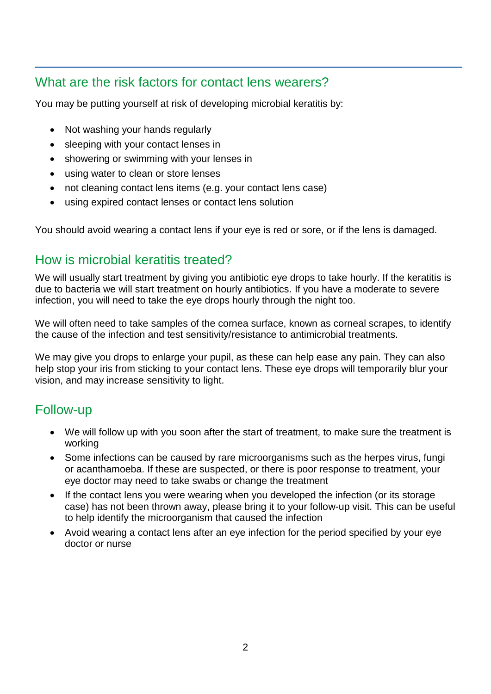# What are the risk factors for contact lens wearers?

You may be putting yourself at risk of developing microbial keratitis by:

- Not washing your hands regularly
- sleeping with your contact lenses in
- showering or swimming with your lenses in
- using water to clean or store lenses
- not cleaning contact lens items (e.g. your contact lens case)
- using expired contact lenses or contact lens solution

You should avoid wearing a contact lens if your eye is red or sore, or if the lens is damaged.

# How is microbial keratitis treated?

We will usually start treatment by giving you antibiotic eye drops to take hourly. If the keratitis is due to bacteria we will start treatment on hourly antibiotics. If you have a moderate to severe infection, you will need to take the eye drops hourly through the night too.

We will often need to take samples of the cornea surface, known as corneal scrapes, to identify the cause of the infection and test sensitivity/resistance to antimicrobial treatments.

We may give you drops to enlarge your pupil, as these can help ease any pain. They can also help stop your iris from sticking to your contact lens. These eye drops will temporarily blur your vision, and may increase sensitivity to light.

#### Follow-up

- We will follow up with you soon after the start of treatment, to make sure the treatment is working
- Some infections can be caused by rare microorganisms such as the herpes virus, fungi or acanthamoeba. If these are suspected, or there is poor response to treatment, your eye doctor may need to take swabs or change the treatment
- If the contact lens you were wearing when you developed the infection (or its storage case) has not been thrown away, please bring it to your follow-up visit. This can be useful to help identify the microorganism that caused the infection
- Avoid wearing a contact lens after an eye infection for the period specified by your eye doctor or nurse